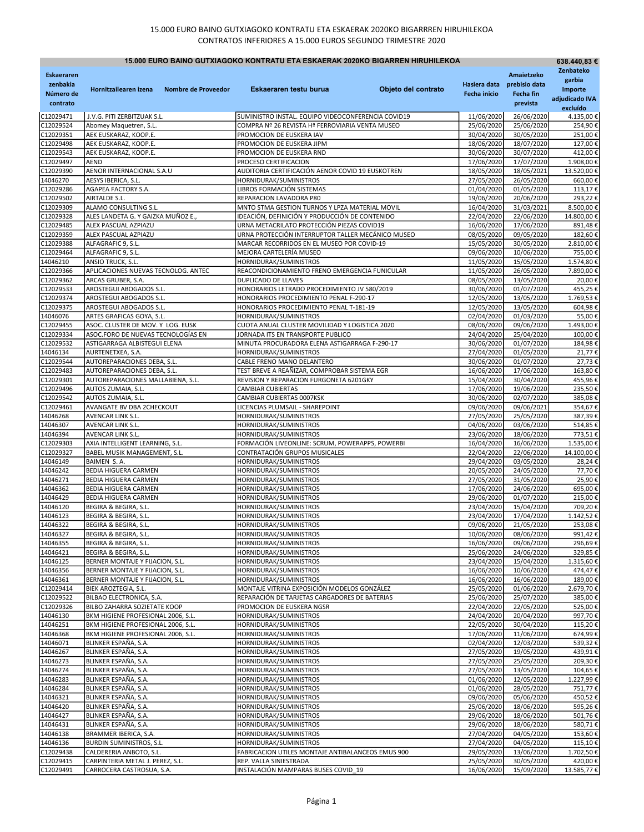| 15.000 EURO BAINO GUTXIAGOKO KONTRATU ETA ESKAERAK 2020KO BIGARREN HIRUHILEKOA |                                                                          |                     |                                                                                         |                     |                                     |                                                      | 638.440,83 €                                     |
|--------------------------------------------------------------------------------|--------------------------------------------------------------------------|---------------------|-----------------------------------------------------------------------------------------|---------------------|-------------------------------------|------------------------------------------------------|--------------------------------------------------|
| <b>Eskaeraren</b><br>zenbakia<br>Número de<br>contrato                         | Hornitzailearen izena                                                    | Nombre de Proveedor | Eskaeraren testu burua                                                                  | Objeto del contrato | Hasiera data<br><b>Fecha inicio</b> | Amaietzeko<br>prebisio data<br>Fecha fin<br>prevista | Zenbateko<br>garbia<br>Importe<br>adjudicado IVA |
| C12029471                                                                      | J.V.G. PITI ZERBITZUAK S.L.                                              |                     | SUMINISTRO INSTAL. EQUIPO VIDEOCONFERENCIA COVID19                                      |                     | 11/06/2020                          | 26/06/2020                                           | excluído<br>4.135,00€                            |
| C12029524                                                                      | Abomey Maquetren, S.L.                                                   |                     | COMPRA Nº 26 REVISTA Hª FERROVIARIA VENTA MUSEO                                         |                     | 25/06/2020                          | 25/06/2020                                           | 254,90€                                          |
| C12029351                                                                      | AEK EUSKARAZ, KOOP.E.                                                    |                     | PROMOCION DE EUSKERA IAV                                                                |                     | 30/04/2020                          | 30/05/2020                                           | 251,00€                                          |
| C12029498                                                                      | AEK EUSKARAZ, KOOP.E.                                                    |                     | PROMOCION DE EUSKERA JIPM                                                               |                     | 18/06/2020                          | 18/07/2020                                           | 127,00€                                          |
| C12029543                                                                      | AEK EUSKARAZ, KOOP.E.                                                    |                     | PROMOCION DE EUSKERA RND                                                                |                     | 30/06/2020                          | 30/07/2020                                           | 412,00€                                          |
| C12029497                                                                      | <b>AEND</b>                                                              |                     | PROCESO CERTIFICACION                                                                   |                     | 17/06/2020                          | 17/07/2020                                           | 1.908,00€                                        |
| C12029390                                                                      | AENOR INTERNACIONAL S.A.U                                                |                     | AUDITORIA CERTIFICACIÓN AENOR COVID 19 EUSKOTREN                                        |                     | 18/05/2020                          | 18/05/2021                                           | 13.520,00€                                       |
| 14046270                                                                       | AESYS IBERICA, S.L.                                                      |                     | HORNIDURAK/SUMINISTROS                                                                  |                     | 27/05/2020                          | 26/05/2020                                           | 660,00€                                          |
| C12029286<br>C12029502                                                         | AGAPEA FACTORY S.A.<br>AIRTALDE S.L.                                     |                     | LIBROS FORMACIÓN SISTEMAS<br>REPARACION LAVADORA P80                                    |                     | 01/04/2020<br>19/06/2020            | 01/05/2020<br>20/06/2020                             | 113,17€<br>293,22€                               |
| C12029309                                                                      | ALAMO CONSULTING S.L.                                                    |                     | MNTO STMA GESTION TURNOS Y LPZA MATERIAL MOVIL                                          |                     | 16/04/2020                          | 31/03/2021                                           | 8.500,00€                                        |
| C12029328                                                                      | ALES LANDETA G. Y GAIZKA MUÑOZ E.,                                       |                     | IDEACIÓN, DEFINICIÓN Y PRODUCCIÓN DE CONTENIDO                                          |                     | 22/04/2020                          | 22/06/2020                                           | 14.800,00€                                       |
| C12029485                                                                      | ALEX PASCUAL AZPIAZU                                                     |                     | URNA METACRILATO PROTECCIÓN PIEZAS COVID19                                              |                     | 16/06/2020                          | 17/06/2020                                           | 891,48€                                          |
| C12029359                                                                      | ALEX PASCUAL AZPIAZU                                                     |                     | URNA PROTECCIÓN INTERRUPTOR TALLER MECÁNICO MUSEO                                       |                     | 08/05/2020                          | 09/05/2020                                           | 182,60€                                          |
| C12029388                                                                      | ALFAGRAFIC 9, S.L.                                                       |                     | MARCAR RECORRIDOS EN EL MUSEO POR COVID-19                                              |                     | 15/05/2020                          | 30/05/2020                                           | 2.810,00€                                        |
| C12029464                                                                      | ALFAGRAFIC 9, S.L.                                                       |                     | MEJORA CARTELERÍA MUSEO                                                                 |                     | 09/06/2020                          | 10/06/2020                                           | 755,00€                                          |
| 14046210                                                                       | ANSIO TRUCK, S.L.                                                        |                     | HORNIDURAK/SUMINISTROS                                                                  |                     | 11/05/2020                          | 15/05/2020                                           | 1.574,80€                                        |
| C12029366                                                                      | APLICACIONES NUEVAS TECNOLOG. ANTEC                                      |                     | REACONDICIONAMIENTO FRENO EMERGENCIA FUNICULAR                                          |                     | 11/05/2020                          | 26/05/2020                                           | 7.890,00€                                        |
| C12029362<br>C12029533                                                         | ARCAS GRUBER, S.A.<br>AROSTEGUI ABOGADOS S.L.                            |                     | DUPLICADO DE LLAVES<br>HONORARIOS LETRADO PROCEDIMIENTO JV 580/2019                     |                     | 08/05/2020<br>30/06/2020            | 13/05/2020<br>01/07/2020                             | 20,00€<br>455,25€                                |
| C12029374                                                                      | AROSTEGUI ABOGADOS S.L.                                                  |                     | HONORARIOS PROCEDIMIENTO PENAL F-290-17                                                 |                     | 12/05/2020                          | 13/05/2020                                           | 1.769,53€                                        |
| C12029375                                                                      | AROSTEGUI ABOGADOS S.L.                                                  |                     | HONORARIOS PROCEDIMIENTO PENAL T-181-19                                                 |                     | 12/05/2020                          | 13/05/2020                                           | 604,98€                                          |
| 14046076                                                                       | ARTES GRAFICAS GOYA, S.L.                                                |                     | HORNIDURAK/SUMINISTROS                                                                  |                     | 02/04/2020                          | 01/03/2020                                           | 55,00€                                           |
| C12029455                                                                      | ASOC. CLUSTER DE MOV. Y LOG. EUSK                                        |                     | CUOTA ANUAL CLUSTER MOVILIDAD Y LOGISTICA 2020                                          |                     | 08/06/2020                          | 09/06/2020                                           | 1.493,00€                                        |
| C12029334                                                                      | ASOC.FORO DE NUEVAS TECNOLOGÍAS EN                                       |                     | JORNADA ITS EN TRANSPORTE PUBLICO                                                       |                     | 24/04/2020                          | 25/04/2020                                           | 100,00€                                          |
| C12029532                                                                      | ASTIGARRAGA ALBISTEGUI ELENA                                             |                     | MINUTA PROCURADORA ELENA ASTIGARRAGA F-290-17                                           |                     | 30/06/2020                          | 01/07/2020                                           | 184,98€                                          |
| 14046134                                                                       | AURTENETXEA, S.A.                                                        |                     | HORNIDURAK/SUMINISTROS                                                                  |                     | 27/04/2020                          | 01/05/2020                                           | 21,77€                                           |
| C12029544                                                                      | AUTOREPARACIONES DEBA, S.L.                                              |                     | CABLE FRENO MANO DELANTERO                                                              |                     | 30/06/2020                          | 01/07/2020                                           | 27,73€                                           |
| C12029483<br>C12029301                                                         | AUTOREPARACIONES DEBA, S.L.<br>AUTOREPARACIONES MALLABIENA, S.L.         |                     | TEST BREVE A REAÑIZAR, COMPROBAR SISTEMA EGR<br>REVISION Y REPARACION FURGONETA 6201GKY |                     | 16/06/2020<br>15/04/2020            | 17/06/2020<br>30/04/2020                             | 163,80€<br>455,96€                               |
| C12029496                                                                      | AUTOS ZUMAIA, S.L.                                                       |                     | <b>CAMBIAR CUBIERTAS</b>                                                                |                     | 17/06/2020                          | 19/06/2020                                           | 235,50€                                          |
| C12029542                                                                      | AUTOS ZUMAIA, S.L.                                                       |                     | CAMBIAR CUBIERTAS 0007KSK                                                               |                     | 30/06/2020                          | 02/07/2020                                           | 385,08€                                          |
| C12029461                                                                      | AVANGATE BV DBA 2CHECKOUT                                                |                     | LICENCIAS PLUMSAIL - SHAREPOINT                                                         |                     | 09/06/2020                          | 09/06/2021                                           | 354,67€                                          |
| 14046268                                                                       | AVENCAR LINK S.L.                                                        |                     | HORNIDURAK/SUMINISTROS                                                                  |                     | 27/05/2020                          | 25/05/2020                                           | 387,39€                                          |
| 14046307                                                                       | AVENCAR LINK S.L.                                                        |                     | HORNIDURAK/SUMINISTROS                                                                  |                     | 04/06/2020                          | 03/06/2020                                           | 514,85€                                          |
| 14046394                                                                       | AVENCAR LINK S.L.                                                        |                     | HORNIDURAK/SUMINISTROS                                                                  |                     | 23/06/2020                          | 18/06/2020                                           | 773,51€                                          |
| C12029303                                                                      | AXIA INTELLIGENT LEARNING, S.L.                                          |                     | FORMACIÓN LIVEONLINE: SCRUM, POWERAPPS, POWERBI                                         |                     | 16/04/2020                          | 16/06/2020                                           | 1.535,00€                                        |
| C12029327                                                                      | BABEL MUSIK MANAGEMENT, S.L.                                             |                     | CONTRATACIÓN GRUPOS MUSICALES                                                           |                     | 22/04/2020                          | 22/06/2020<br>03/05/2020                             | 14.100,00€                                       |
| 14046149<br>14046242                                                           | BAIMEN S.A.<br><b>BEDIA HIGUERA CARMEN</b>                               |                     | HORNIDURAK/SUMINISTROS<br>HORNIDURAK/SUMINISTROS                                        |                     | 29/04/2020<br>20/05/2020            | 24/05/2020                                           | 28,24€<br>77,70€                                 |
| 14046271                                                                       | <b>BEDIA HIGUERA CARMEN</b>                                              |                     | HORNIDURAK/SUMINISTROS                                                                  |                     | 27/05/2020                          | 31/05/2020                                           | 25,90€                                           |
| 14046362                                                                       | <b>BEDIA HIGUERA CARMEN</b>                                              |                     | HORNIDURAK/SUMINISTROS                                                                  |                     | 17/06/2020                          | 24/06/2020                                           | 695,00€                                          |
| 14046429                                                                       | <b>BEDIA HIGUERA CARMEN</b>                                              |                     | HORNIDURAK/SUMINISTROS                                                                  |                     | 29/06/2020                          | 01/07/2020                                           | 215,00€                                          |
| 14046120                                                                       | BEGIRA & BEGIRA, S.L.                                                    |                     | HORNIDURAK/SUMINISTROS                                                                  |                     | 23/04/2020                          | 15/04/2020                                           | 709,20€                                          |
| 14046123                                                                       | BEGIRA & BEGIRA, S.L.                                                    |                     | HORNIDURAK/SUMINISTROS                                                                  |                     | 23/04/2020                          | 17/04/2020                                           | 1.142,52€                                        |
| 14046322                                                                       | BEGIRA & BEGIRA. S.L.                                                    |                     | HORNIDURAK/SUMINISTROS                                                                  |                     | 09/06/2020                          | 21/05/2020                                           | 253.08€                                          |
| 14046327<br>14046355                                                           | BEGIRA & BEGIRA, S.L.                                                    |                     | HORNIDURAK/SUMINISTROS<br>HORNIDURAK/SUMINISTROS                                        |                     | 10/06/2020                          | 08/06/2020                                           | 991,42€                                          |
| 14046421                                                                       | BEGIRA & BEGIRA, S.L.<br>BEGIRA & BEGIRA, S.L.                           |                     | HORNIDURAK/SUMINISTROS                                                                  |                     | 16/06/2020<br>25/06/2020            | 09/06/2020<br>24/06/2020                             | 296,69€<br>329,85€                               |
| 14046125                                                                       | BERNER MONTAJE Y FIJACION, S.L.                                          |                     | HORNIDURAK/SUMINISTROS                                                                  |                     | 23/04/2020                          | 15/04/2020                                           | 1.315,60€                                        |
| 14046356                                                                       | BERNER MONTAJE Y FIJACION, S.L.                                          |                     | HORNIDURAK/SUMINISTROS                                                                  |                     | 16/06/2020                          | 10/06/2020                                           | 474,47€                                          |
| 14046361                                                                       | BERNER MONTAJE Y FIJACION, S.L.                                          |                     | HORNIDURAK/SUMINISTROS                                                                  |                     | 16/06/2020                          | 16/06/2020                                           | 189,00€                                          |
| C12029414                                                                      | BIEK AROZTEGIA, S.L.                                                     |                     | MONTAJE VITRINA EXPOSICIÓN MODELOS GONZÁLEZ                                             |                     | 25/05/2020                          | 01/06/2020                                           | 2.679,70€                                        |
| C12029522                                                                      | BILBAO ELECTRONICA, S.A.                                                 |                     | REPARACIÓN DE TARJETAS CARGADORES DE BATERIAS                                           |                     | 25/06/2020                          | 25/07/2020                                           | 385,00€                                          |
| C12029326                                                                      | BILBO ZAHARRA SOZIETATE KOOP                                             |                     | PROMOCION DE EUSKERA NGSR                                                               |                     | 22/04/2020                          | 22/05/2020                                           | 525,00€                                          |
| 14046130                                                                       | BKM HIGIENE PROFESIONAL 2006, S.L.                                       |                     | HORNIDURAK/SUMINISTROS                                                                  |                     | 24/04/2020                          | 20/04/2020                                           | 997,70€                                          |
| 14046251<br>14046368                                                           | BKM HIGIENE PROFESIONAL 2006, S.L.<br>BKM HIGIENE PROFESIONAL 2006, S.L. |                     | HORNIDURAK/SUMINISTROS<br>HORNIDURAK/SUMINISTROS                                        |                     | 22/05/2020<br>17/06/2020            | 30/04/2020<br>11/06/2020                             | 115,20€<br>674,99€                               |
| 14046071                                                                       | BLINKER ESPAÑA, S.A.                                                     |                     | HORNIDURAK/SUMINISTROS                                                                  |                     | 02/04/2020                          | 12/03/2020                                           | 539,32€                                          |
| 14046267                                                                       | BLINKER ESPAÑA, S.A.                                                     |                     | HORNIDURAK/SUMINISTROS                                                                  |                     | 27/05/2020                          | 19/05/2020                                           | 439,91€                                          |
| 14046273                                                                       | BLINKER ESPAÑA, S.A.                                                     |                     | HORNIDURAK/SUMINISTROS                                                                  |                     | 27/05/2020                          | 25/05/2020                                           | 209,30€                                          |
| 14046274                                                                       | BLINKER ESPAÑA, S.A.                                                     |                     | HORNIDURAK/SUMINISTROS                                                                  |                     | 27/05/2020                          | 13/05/2020                                           | 104,65€                                          |
| 14046283                                                                       | BLINKER ESPAÑA, S.A.                                                     |                     | HORNIDURAK/SUMINISTROS                                                                  |                     | 01/06/2020                          | 12/05/2020                                           | 1.227,99€                                        |
| 14046284                                                                       | BLINKER ESPAÑA, S.A.                                                     |                     | HORNIDURAK/SUMINISTROS                                                                  |                     | 01/06/2020                          | 28/05/2020                                           | 751,77€                                          |
| 14046321                                                                       | BLINKER ESPAÑA, S.A.                                                     |                     | HORNIDURAK/SUMINISTROS                                                                  |                     | 09/06/2020                          | 05/06/2020                                           | 450,52€                                          |
| 14046420<br>14046427                                                           | BLINKER ESPAÑA, S.A.<br>BLINKER ESPAÑA, S.A.                             |                     | HORNIDURAK/SUMINISTROS<br>HORNIDURAK/SUMINISTROS                                        |                     | 25/06/2020<br>29/06/2020            | 18/06/2020<br>18/06/2020                             | 595,26€<br>501,76€                               |
| 14046431                                                                       | BLINKER ESPAÑA, S.A.                                                     |                     | HORNIDURAK/SUMINISTROS                                                                  |                     | 29/06/2020                          | 18/06/2020                                           | 580,71€                                          |
| 14046138                                                                       | BRAMMER IBERICA, S.A.                                                    |                     | HORNIDURAK/SUMINISTROS                                                                  |                     | 27/04/2020                          | 04/05/2020                                           | 153,60€                                          |
| 14046136                                                                       | <b>BURDIN SUMINISTROS, S.L.</b>                                          |                     | HORNIDURAK/SUMINISTROS                                                                  |                     | 27/04/2020                          | 04/05/2020                                           | 115,10€                                          |
| C12029438                                                                      | CALDERERIA ANBOTO, S.L.                                                  |                     | FABRICACION UTILES MONTAJE ANTIBALANCEOS EMUS 900                                       |                     | 29/05/2020                          | 13/06/2020                                           | 1.702,50€                                        |
| C12029415                                                                      | CARPINTERIA METAL J. PEREZ, S.L.                                         |                     | REP. VALLA SINIESTRADA                                                                  |                     | 25/05/2020                          | 30/05/2020                                           | 420,00€                                          |
| C12029491                                                                      | CARROCERA CASTROSUA, S.A.                                                |                     | INSTALACIÓN MAMPARAS BUSES COVID 19                                                     |                     | 16/06/2020                          | 15/09/2020                                           | 13.585,77 €                                      |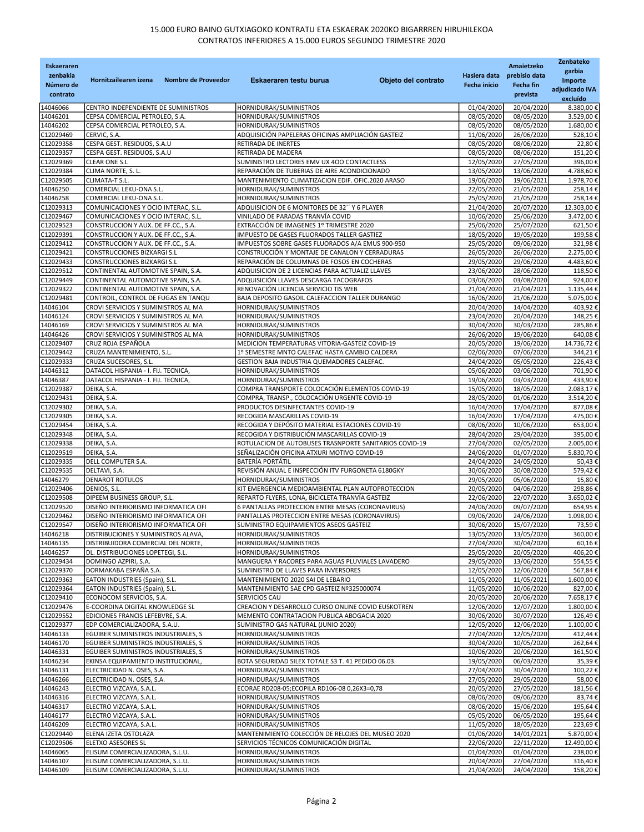| <b>Eskaeraren</b><br>zenbakia<br>Número de<br>contrato | Hornitzailearen izena<br>Nombre de Proveedor                               | Objeto del contrato<br>Eskaeraren testu burua                                                   | Hasiera data<br><b>Fecha inicio</b> | Amaietzeko<br>prebisio data<br>Fecha fin<br>prevista | Zenbateko<br>garbia<br>Importe<br>adjudicado IVA |
|--------------------------------------------------------|----------------------------------------------------------------------------|-------------------------------------------------------------------------------------------------|-------------------------------------|------------------------------------------------------|--------------------------------------------------|
|                                                        |                                                                            |                                                                                                 |                                     |                                                      | excluído                                         |
| 14046066<br>14046201                                   | CENTRO INDEPENDIENTE DE SUMINISTROS<br>CEPSA COMERCIAL PETROLEO, S.A.      | HORNIDURAK/SUMINISTROS<br>HORNIDURAK/SUMINISTROS                                                | 01/04/2020<br>08/05/2020            | 20/04/2020<br>08/05/2020                             | 8.380,00 €<br>3.529,00€                          |
| 14046202                                               | CEPSA COMERCIAL PETROLEO, S.A.                                             | HORNIDURAK/SUMINISTROS                                                                          | 08/05/2020                          | 08/05/2020                                           | 1.680,00€                                        |
| C12029469                                              | CERVIC, S.A.                                                               | ADQUISICIÓN PAPELERAS OFICINAS AMPLIACIÓN GASTEIZ                                               | 11/06/2020                          | 26/06/2020                                           | 528,10€                                          |
| C12029358                                              | CESPA GEST. RESIDUOS, S.A.U                                                | RETIRADA DE INERTES                                                                             | 08/05/2020                          | 08/06/2020                                           | 22,80€                                           |
| C12029357                                              | CESPA GEST. RESIDUOS, S.A.U                                                | RETIRADA DE MADERA                                                                              | 08/05/2020                          | 08/06/2020                                           | 151,20€                                          |
| C12029369                                              | <b>CLEAR ONE S.L</b>                                                       | SUMINISTRO LECTORES EMV UX 400 CONTACTLESS<br>REPARACIÓN DE TUBERIAS DE AIRE ACONDICIONADO      | 12/05/2020                          | 27/05/2020                                           | 396,00€                                          |
| C12029384<br>C12029505                                 | CLIMA NORTE, S. L.<br>CLIMATA-T S.L.                                       | MANTENIMIENTO CLIMATIZACION EDIF. OFIC.2020 ARASO                                               | 13/05/2020<br>19/06/2020            | 13/06/2020<br>19/06/2021                             | 4.788,60€<br>1.978,70€                           |
| 14046250                                               | COMERCIAL LEKU-ONA S.L.                                                    | HORNIDURAK/SUMINISTROS                                                                          | 22/05/2020                          | 21/05/2020                                           | 258,14€                                          |
| 14046258                                               | COMERCIAL LEKU-ONA S.L.                                                    | HORNIDURAK/SUMINISTROS                                                                          | 25/05/2020                          | 21/05/2020                                           | 258,14€                                          |
| C12029313                                              | COMUNICACIONES Y OCIO INTERAC, S.L.                                        | ADQUISICION DE 6 MONITORES DE 32" Y 6 PLAYER                                                    | 21/04/2020                          | 20/07/2020                                           | 12.303,00€                                       |
| C12029467                                              | COMUNICACIONES Y OCIO INTERAC, S.L.                                        | VINILADO DE PARADAS TRANVÍA COVID                                                               | 10/06/2020                          | 25/06/2020                                           | 3.472,00€                                        |
| C12029523<br>C12029391                                 | CONSTRUCCION Y AUX. DE FF.CC., S.A.<br>CONSTRUCCION Y AUX. DE FF.CC., S.A. | EXTRACCIÓN DE IMAGENES 1º TRIMESTRE 2020<br>IMPUESTO DE GASES FLUORADOS TALLER GASTIEZ          | 25/06/2020<br>18/05/2020            | 25/07/2020<br>19/05/2020                             | 621,50€<br>199,58€                               |
| C12029412                                              | CONSTRUCCION Y AUX. DE FF.CC., S.A.                                        | IMPUESTOS SOBRE GASES FLUORADOS A/A EMUS 900-950                                                | 25/05/2020                          | 09/06/2020                                           | 321,98€                                          |
| C12029421                                              | CONSTRUCCIONES BIZKARGI S.L                                                | CONSTRUCCIÓN Y MONTAJE DE CANALON Y CERRADURAS                                                  | 26/05/2020                          | 26/06/2020                                           | 2.275,00 €                                       |
| C12029433                                              | <b>CONSTRUCCIONES BIZKARGI S.L</b>                                         | REPARACIÓN DE COLUMNAS DE FOSOS EN COCHERAS                                                     | 29/05/2020                          | 29/06/2020                                           | 4.483,60 €                                       |
| C12029512                                              | CONTINENTAL AUTOMOTIVE SPAIN, S.A.                                         | ADQUISICION DE 2 LICENCIAS PARA ACTUALIZ LLAVES                                                 | 23/06/2020                          | 28/06/2020                                           | 118,50€                                          |
| C12029449<br>C12029322                                 | CONTINENTAL AUTOMOTIVE SPAIN, S.A.<br>CONTINENTAL AUTOMOTIVE SPAIN, S.A.   | ADQUISICIÓN LLAVES DESCARGA TACOGRAFOS<br>RENOVACIÓN LICENCIA SERVICIO TIS WEB                  | 03/06/2020<br>21/04/2020            | 03/08/2020<br>21/04/2021                             | 924,00€<br>1.135,44 €                            |
| C12029481                                              | CONTROIL, CONTROL DE FUGAS EN TANQU                                        | BAJA DEPOSITO GASOIL CALEFACCION TALLER DURANGO                                                 | 16/06/2020                          | 21/06/2020                                           | 5.075,00€                                        |
| 14046104                                               | CROVI SERVICIOS Y SUMINISTROS AL MA                                        | HORNIDURAK/SUMINISTROS                                                                          | 20/04/2020                          | 14/04/2020                                           | 403,92€                                          |
| 14046124                                               | CROVI SERVICIOS Y SUMINISTROS AL MA                                        | HORNIDURAK/SUMINISTROS                                                                          | 23/04/2020                          | 20/04/2020                                           | 148,25€                                          |
| 14046169                                               | CROVI SERVICIOS Y SUMINISTROS AL MA                                        | HORNIDURAK/SUMINISTROS                                                                          | 30/04/2020                          | 30/03/2020                                           | 285,86€                                          |
| 14046426                                               | CROVI SERVICIOS Y SUMINISTROS AL MA                                        | HORNIDURAK/SUMINISTROS                                                                          | 26/06/2020                          | 19/06/2020                                           | 640,08€                                          |
| C12029407<br>C12029442                                 | CRUZ ROJA ESPAÑOLA<br>CRUZA MANTENIMIENTO, S.L.                            | MEDICION TEMPERATURAS VITORIA-GASTEIZ COVID-19<br>1º SEMESTRE MNTO CALEFAC HASTA CAMBIO CALDERA | 20/05/2020<br>02/06/2020            | 19/06/2020<br>07/06/2020                             | 14.736,72€<br>344,21€                            |
| C12029333                                              | CRUZA SUCESORES, S.L.                                                      | GESTION BAJA INDUSTRIA QUEMADORES CALEFAC.                                                      | 24/04/2020                          | 05/05/2020                                           | 226,43€                                          |
| 14046312                                               | DATACOL HISPANIA - I. FIJ. TECNICA                                         | HORNIDURAK/SUMINISTROS                                                                          | 05/06/2020                          | 03/06/2020                                           | 701,90€                                          |
| 14046387                                               | DATACOL HISPANIA - I. FIJ. TECNICA                                         | HORNIDURAK/SUMINISTROS                                                                          | 19/06/2020                          | 03/03/2020                                           | 433,90€                                          |
| C12029387                                              | DEIKA, S.A.                                                                | COMPRA TRANSPORTE COLOCACIÓN ELEMENTOS COVID-19                                                 | 15/05/2020                          | 18/05/2020                                           | 2.083,17€                                        |
| C12029431                                              | DEIKA, S.A.                                                                | COMPRA, TRANSP., COLOCACIÓN URGENTE COVID-19                                                    | 28/05/2020                          | 01/06/2020                                           | 3.514,20€                                        |
| C12029302<br>C12029305                                 | DEIKA, S.A.<br>DEIKA, S.A.                                                 | PRODUCTOS DESINFECTANTES COVID-19<br>RECOGIDA MASCARILLAS COVID-19                              | 16/04/2020<br>16/04/2020            | 17/04/2020<br>17/04/2020                             | 877,08€<br>475,00€                               |
| C12029454                                              | DEIKA, S.A.                                                                | RECOGIDA Y DEPÓSITO MATERIAL ESTACIONES COVID-19                                                | 08/06/2020                          | 10/06/2020                                           | 653,00€                                          |
| C12029348                                              | DEIKA, S.A.                                                                | RECOGIDA Y DISTRIBUCIÓN MASCARILLAS COVID-19                                                    | 28/04/2020                          | 29/04/2020                                           | 395,00€                                          |
| C12029338                                              | DEIKA, S.A.                                                                | ROTULACION DE AUTOBUSES TRASNPORTE SANITARIOS COVID-19                                          | 27/04/2020                          | 02/05/2020                                           | 2.005,00€                                        |
| C12029519                                              | DEIKA, S.A.                                                                | SEÑALIZACIÓN OFICINA ATXURI MOTIVO COVID-19                                                     | 24/06/2020                          | 01/07/2020                                           | 5.830,70€                                        |
| C12029335                                              | DELL COMPUTER S.A.                                                         | <b>BATERÍA PORTÁTIL</b>                                                                         | 24/04/2020                          | 24/05/2020                                           | 50,43€                                           |
| C12029535<br>14046279                                  | DELTAVI, S.A.<br><b>DENAROT ROTULOS</b>                                    | REVISIÓN ANUAL E INSPECCIÓN ITV FURGONETA 6180GKY<br>HORNIDURAK/SUMINISTROS                     | 30/06/2020<br>29/05/2020            | 30/08/2020<br>05/06/2020                             | 579,42€<br>15,80€                                |
| C12029406                                              | DENIOS, S.L.                                                               | KIT EMERGENCIA MEDIOAMBIENTAL PLAN AUTOPROTECCION                                               | 20/05/2020                          | 04/06/2020                                           | 298,86€                                          |
| C12029508                                              | DIPEEM BUSINESS GROUP, S.L.                                                | REPARTO FLYERS, LONA, BICICLETA TRANVÍA GASTEIZ                                                 | 22/06/2020                          | 22/07/2020                                           | 3.650,02€                                        |
| C12029520                                              | DISEÑO INTERIORISMO INFORMATICA OFI                                        | 6 PANTALLAS PROTECCION ENTRE MESAS (CORONAVIRUS)                                                | 24/06/2020                          | 09/07/2020                                           | 654,95€                                          |
| C12029462                                              | DISEÑO INTERIORISMO INFORMATICA OFI                                        | PANTALLAS PROTECCION ENTRE MESAS (CORONAVIRUS)                                                  | 09/06/2020                          | 24/06/2020                                           | 1.098,00€                                        |
| C12029547                                              | DISEÑO INTERIORISMO INFORMATICA OFI                                        | SUMINISTRO EQUIPAMIENTOS ASEOS GASTEIZ                                                          | 30/06/2020                          | 15/07/2020                                           | 73,59€                                           |
| 14046218<br>14046135                                   | DISTRIBUCIONES Y SUMINISTROS ALAVA,<br>DISTRIBUIDORA COMERCIAL DEL NORTE,  | HORNIDURAK/SUMINISTROS<br>HORNIDURAK/SUMINISTROS                                                | 13/05/2020<br>27/04/2020            | 13/05/2020<br>30/04/2020                             | 360,00€<br>60,16€                                |
| 14046257                                               | DL. DISTRIBUCIONES LOPETEGI, S.L.                                          | HORNIDURAK/SUMINISTROS                                                                          | 25/05/2020                          | 20/05/2020                                           | 406,20€                                          |
| C12029434                                              | DOMINGO AZPIRI, S.A.                                                       | MANGUERA Y RACORES PARA AGUAS PLUVIALES LAVADERO                                                | 29/05/2020                          | 13/06/2020                                           | 554,55€                                          |
| C12029370                                              | DORMAKABA ESPAÑA S.A.                                                      | SUMINISTRO DE LLAVES PARA INVERSORES                                                            | 12/05/2020                          | 12/06/2020                                           | 567,84€                                          |
| C12029363                                              | EATON INDUSTRIES (Spain), S.L.                                             | MANTENIMIENTO 2020 SAI DE LEBARIO                                                               | 11/05/2020                          | 11/05/2021                                           | 1.600,00€                                        |
| C12029364                                              | EATON INDUSTRIES (Spain), S.L.                                             | MANTENIMIENTO SAE CPD GASTEIZ Nº325000074<br>SERVICIOS CAU                                      | 11/05/2020<br>20/05/2020            | 10/06/2020                                           | 827,00€                                          |
| C12029410<br>C12029476                                 | ECONOCOM SERVICIOS, S.A.<br>E-COORDINA DIGITAL KNOWLEDGE SL                | CREACION Y DESARROLLO CURSO ONLINE COVID EUSKOTREN                                              | 12/06/2020                          | 20/06/2020<br>12/07/2020                             | 7.658,17€<br>1.800,00€                           |
| C12029552                                              | EDICIONES FRANCIS LEFEBVRE, S.A.                                           | MEMENTO CONTRATACION PUBLICA ABOGACIA 2020                                                      | 30/06/2020                          | 30/07/2020                                           | 126,49€                                          |
| C12029377                                              | EDP COMERCIALIZADORA, S.A.U.                                               | SUMINISTRO GAS NATURAL (JUNIO 2020)                                                             | 12/05/2020                          | 12/06/2020                                           | 1.100,00€                                        |
| 14046133                                               | EGUIBER SUMINISTROS INDUSTRIALES, S                                        | HORNIDURAK/SUMINISTROS                                                                          | 27/04/2020                          | 12/05/2020                                           | 412,44€                                          |
| 14046170                                               | EGUIBER SUMINISTROS INDUSTRIALES, S                                        | HORNIDURAK/SUMINISTROS                                                                          | 30/04/2020                          | 10/05/2020                                           | 262,64€                                          |
| 14046331<br>14046234                                   | EGUIBER SUMINISTROS INDUSTRIALES, S<br>EKINSA EQUIPAMIENTO INSTITUCIONAL,  | HORNIDURAK/SUMINISTROS<br>BOTA SEGURIDAD SILEX TOTALE S3 T. 41 PEDIDO 06.03.                    | 10/06/2020                          | 20/06/2020                                           | 161,50€                                          |
| 14046131                                               | ELECTRICIDAD N. OSES, S.A.                                                 | HORNIDURAK/SUMINISTROS                                                                          | 19/05/2020<br>27/04/2020            | 06/03/2020<br>30/04/2020                             | 35,39€<br>100,22€                                |
| 14046266                                               | ELECTRICIDAD N. OSES, S.A.                                                 | HORNIDURAK/SUMINISTROS                                                                          | 27/05/2020                          | 29/05/2020                                           | 58,00€                                           |
| 14046243                                               | ELECTRO VIZCAYA, S.A.L.                                                    | ECORAE RD208-05;ECOPILA RD106-08 0,26X3=0,78                                                    | 20/05/2020                          | 27/05/2020                                           | 181,56€                                          |
| 14046316                                               | ELECTRO VIZCAYA, S.A.L.                                                    | HORNIDURAK/SUMINISTROS                                                                          | 08/06/2020                          | 09/06/2020                                           | 83,74€                                           |
| 14046317                                               | ELECTRO VIZCAYA, S.A.L.                                                    | HORNIDURAK/SUMINISTROS                                                                          | 08/06/2020                          | 15/06/2020                                           | 195,64€                                          |
| 14046177<br>14046209                                   | ELECTRO VIZCAYA, S.A.L.<br>ELECTRO VIZCAYA, S.A.L.                         | HORNIDURAK/SUMINISTROS<br>HORNIDURAK/SUMINISTROS                                                | 05/05/2020<br>11/05/2020            | 06/05/2020<br>18/05/2020                             | 195,64€<br>223,69€                               |
| C12029440                                              | ELENA IZETA OSTOLAZA                                                       | MANTENIMIENTO COLECCIÓN DE RELOJES DEL MUSEO 2020                                               | 01/06/2020                          | 14/01/2021                                           | 5.870,00€                                        |
| C12029506                                              | ELETXO ASESORES SL                                                         | SERVICIOS TÉCNICOS COMUNICACIÓN DIGITAL                                                         | 22/06/2020                          | 22/11/2020                                           | 12.490,00€                                       |
| 14046065                                               | ELISUM COMERCIALIZADORA, S.L.U.                                            | HORNIDURAK/SUMINISTROS                                                                          | 01/04/2020                          | 01/04/2020                                           | 238,00€                                          |
| 14046107                                               | ELISUM COMERCIALIZADORA, S.L.U.                                            | HORNIDURAK/SUMINISTROS                                                                          | 20/04/2020                          | 27/04/2020                                           | 316,40€                                          |
| 14046109                                               | ELISUM COMERCIALIZADORA, S.L.U.                                            | HORNIDURAK/SUMINISTROS                                                                          | 21/04/2020                          | 24/04/2020                                           | 158,20€                                          |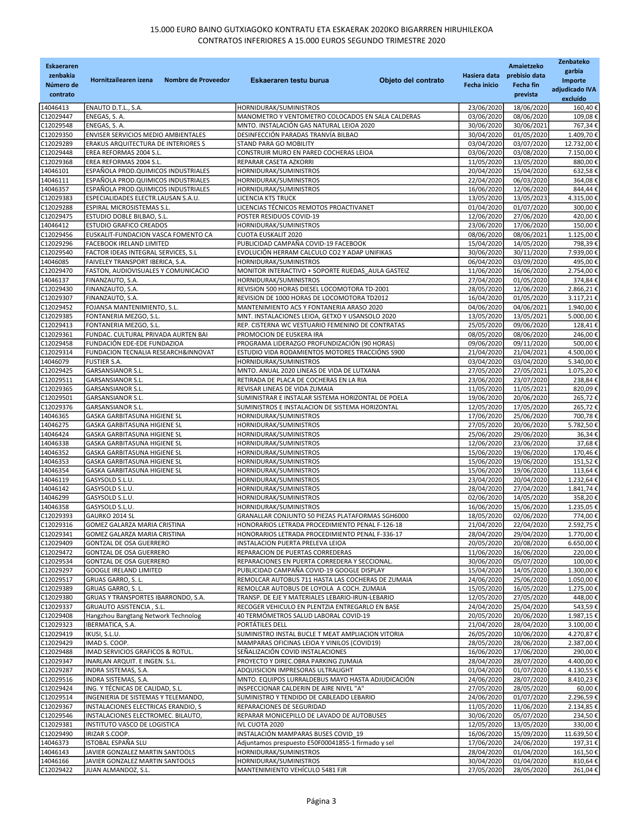| <b>Eskaeraren</b>      |                                                                         |                                                                                              |                          | Amaietzeko               | Zenbateko               |
|------------------------|-------------------------------------------------------------------------|----------------------------------------------------------------------------------------------|--------------------------|--------------------------|-------------------------|
| zenbakia               | Hornitzailearen izena<br>Nombre de Proveedor                            | Objeto del contrato<br>Eskaeraren testu burua                                                | Hasiera data             | prebisio data            | garbia<br>Importe       |
| Número de              |                                                                         |                                                                                              | <b>Fecha inicio</b>      | Fecha fin                | adjudicado IVA          |
| contrato               |                                                                         |                                                                                              |                          | prevista                 | excluído                |
| 14046413<br>C12029447  | ENAUTO D.T.L., S.A.<br>ENEGAS, S.A.                                     | HORNIDURAK/SUMINISTROS<br>MANOMETRO Y VENTOMETRO COLOCADOS EN SALA CALDERAS                  | 23/06/2020<br>03/06/2020 | 18/06/2020<br>08/06/2020 | 160,40€<br>109,08€      |
| C12029548              | ENEGAS, S. A.                                                           | MNTO. INSTALACIÓN GAS NATURAL LEIOA 2020                                                     | 30/06/2020               | 30/06/2021               | 767,34€                 |
| C12029350              | ENVISER SERVICIOS MEDIO AMBIENTALES                                     | DESINFECCIÓN PARADAS TRANVÍA BILBAO                                                          | 30/04/2020               | 01/05/2020               | 1.409,70€               |
| C12029289              | ERAKUS ARQUITECTURA DE INTERIORES S                                     | STAND PARA GO MOBILITY                                                                       | 03/04/2020               | 03/07/2020               | 12.732,00€              |
| C12029448              | EREA REFORMAS 2004 S.L.                                                 | CONSTRUIR MURO EN PARED COCHERAS LEIOA                                                       | 03/06/2020               | 03/08/2020               | 7.150,00€               |
| C12029368<br>14046101  | EREA REFORMAS 2004 S.L.<br>ESPAÑOLA PROD.QUIMICOS INDUSTRIALES          | REPARAR CASETA AZKORRI<br>HORNIDURAK/SUMINISTROS                                             | 11/05/2020<br>20/04/2020 | 13/05/2020<br>15/04/2020 | 880,00€<br>632,58€      |
| 14046111               | ESPAÑOLA PROD.QUIMICOS INDUSTRIALES                                     | HORNIDURAK/SUMINISTROS                                                                       | 22/04/2020               | 06/03/2020               | 364,08€                 |
| 14046357               | ESPAÑOLA PROD.QUIMICOS INDUSTRIALES                                     | HORNIDURAK/SUMINISTROS                                                                       | 16/06/2020               | 12/06/2020               | 844,44€                 |
| C12029383              | ESPECIALIDADES ELECTR.LAUSAN S.A.U.                                     | LICENCIA KTS TRUCK                                                                           | 13/05/2020               | 13/05/2023               | 4.315,00 €              |
| C12029288<br>C12029475 | ESPIRAL MICROSISTEMAS S.L.<br>ESTUDIO DOBLE BILBAO, S.L.                | LICENCIAS TÉCNICOS REMOTOS PROACTIVANET<br>POSTER RESIDUOS COVID-19                          | 01/04/2020<br>12/06/2020 | 01/07/2020<br>27/06/2020 | 300,00€<br>420,00€      |
| 14046412               | <b>ESTUDIO GRAFICO CREADOS</b>                                          | HORNIDURAK/SUMINISTROS                                                                       | 23/06/2020               | 17/06/2020               | 150,00€                 |
| C12029456              | EUSKALIT-FUNDACION VASCA FOMENTO CA                                     | CUOTA EUSKALIT 2020                                                                          | 08/06/2020               | 08/06/2021               | 1.125,00€               |
| C12029296              | FACEBOOK IRELAND LIMITED                                                | PUBLICIDAD CAMPAÑA COVID-19 FACEBOOK                                                         | 15/04/2020               | 14/05/2020               | 798,39€                 |
| C12029540<br>14046085  | FACTOR IDEAS INTEGRAL SERVICES, S.L<br>FAIVELEY TRANSPORT IBERICA, S.A. | EVOLUCIÓN HERRAM CALCULO CO2 Y ADAP UNIFIKAS<br>HORNIDURAK/SUMINISTROS                       | 30/06/2020<br>06/04/2020 | 30/11/2020<br>03/09/2020 | 7.939,00€<br>495,00€    |
| C12029470              | FASTON, AUDIOVISUALES Y COMUNICACIO                                     | MONITOR INTERACTIVO + SOPORTE RUEDAS AULA GASTEIZ                                            | 11/06/2020               | 16/06/2020               | 2.754,00€               |
| 14046137               | FINANZAUTO, S.A.                                                        | HORNIDURAK/SUMINISTROS                                                                       | 27/04/2020               | 01/05/2020               | 374,84€                 |
| C12029430              | FINANZAUTO, S.A.                                                        | REVISION 500 HORAS DIESEL LOCOMOTORA TD-2001                                                 | 28/05/2020               | 12/06/2020               | 2.866,21€               |
| C12029307              | FINANZAUTO, S.A.                                                        | REVISION DE 1000 HORAS DE LOCOMOTORA TD2012                                                  | 16/04/2020               | 01/05/2020               | 3.117,21€               |
| C12029452<br>C12029385 | FOJANSA MANTENIMIENTO, S.L.<br>FONTANERIA MEZGO, S.L.                   | MANTENIMIENTO ACS Y FONTANERIA ARASO 2020<br>MNT. INSTALACIONES LEIOA, GETXO Y USANSOLO 2020 | 04/06/2020<br>13/05/2020 | 04/06/2021<br>13/05/2021 | 1.940,00€<br>5.000,00€  |
| C12029413              | FONTANERIA MEZGO, S.L.                                                  | REP. CISTERNA WC VESTUARIO FEMENINO DE CONTRATAS                                             | 25/05/2020               | 09/06/2020               | 128,41€                 |
| C12029361              | FUNDAC. CULTURAL PRIVADA AURTEN BAI                                     | PROMOCION DE EUSKERA IRA                                                                     | 08/05/2020               | 08/06/2020               | 246,00€                 |
| C12029458              | FUNDACIÓN EDE-EDE FUNDAZIOA                                             | PROGRAMA LIDERAZGO PROFUNDIZACIÓN (90 HORAS)                                                 | 09/06/2020               | 09/11/2020               | 500,00€                 |
| C12029314              | FUNDACION TECNALIA RESEARCH&INNOVAT                                     | ESTUDIO VIDA RODAMIENTOS MOTORES TRACCIÓNS S900                                              | 21/04/2020               | 21/04/2021               | 4.500,00€               |
| 14046079<br>C12029425  | <b>FUSTIER S.A.</b><br><b>GARSANSIANOR S.L.</b>                         | HORNIDURAK/SUMINISTROS<br>MNTO. ANUAL 2020 LINEAS DE VIDA DE LUTXANA                         | 03/04/2020<br>27/05/2020 | 03/04/2020<br>27/05/2021 | 5.340,00€<br>1.075,20€  |
| C12029511              | GARSANSIANOR S.L.                                                       | RETIRADA DE PLACA DE COCHERAS EN LA RIA                                                      | 23/06/2020               | 23/07/2020               | 238,84€                 |
| C12029365              | <b>GARSANSIANOR S.L.</b>                                                | REVISAR LINEAS DE VIDA ZUMAIA                                                                | 11/05/2020               | 11/05/2021               | 820,09€                 |
| C12029501              | GARSANSIANOR S.L.                                                       | SUMINISTRAR E INSTALAR SISTEMA HORIZONTAL DE POELA                                           | 19/06/2020               | 20/06/2020               | 265,72€                 |
| C12029376<br>14046365  | <b>GARSANSIANOR S.L.</b><br>GASKA GARBITASUNA HIGIENE SL                | SUMINISTROS E INSTALACION DE SISTEMA HORIZONTAL<br>HORNIDURAK/SUMINISTROS                    | 12/05/2020<br>17/06/2020 | 17/05/2020<br>25/06/2020 | 265,72€<br>700,78€      |
| 14046275               | GASKA GARBITASUNA HIGIENE SL                                            | HORNIDURAK/SUMINISTROS                                                                       | 27/05/2020               | 20/06/2020               | 5.782,50€               |
| 14046424               | GASKA GARBITASUNA HIGIENE SL                                            | HORNIDURAK/SUMINISTROS                                                                       | 25/06/2020               | 29/06/2020               | 36,34€                  |
| 14046338               | GASKA GARBITASUNA HIGIENE SL                                            | HORNIDURAK/SUMINISTROS                                                                       | 12/06/2020               | 23/06/2020               | 37,68€                  |
| 14046352               | GASKA GARBITASUNA HIGIENE SL                                            | HORNIDURAK/SUMINISTROS                                                                       | 15/06/2020               | 19/06/2020               | 170,46€                 |
| 14046353<br>14046354   | GASKA GARBITASUNA HIGIENE SL<br>GASKA GARBITASUNA HIGIENE SL            | HORNIDURAK/SUMINISTROS<br>HORNIDURAK/SUMINISTROS                                             | 15/06/2020<br>15/06/2020 | 19/06/2020<br>19/06/2020 | 151,52€<br>113,64€      |
| 14046119               | GASYSOLD S.L.U.                                                         | HORNIDURAK/SUMINISTROS                                                                       | 23/04/2020               | 20/04/2020               | 1.232,64€               |
| 14046142               | GASYSOLD S.L.U.                                                         | HORNIDURAK/SUMINISTROS                                                                       | 28/04/2020               | 27/04/2020               | 1.841,74€               |
| 14046299               | GASYSOLD S.L.U.                                                         | HORNIDURAK/SUMINISTROS                                                                       | 02/06/2020               | 14/05/2020               | 358,20€                 |
| 14046358               | GASYSOLD S.L.U.                                                         | HORNIDURAK/SUMINISTROS<br>GRANALLAR CONJUNTO 50 PIEZAS PLATAFORMAS SGH6000                   | 16/06/2020<br>18/05/2020 | 15/06/2020               | 1.235,05€               |
| C12029393<br>C12029316 | GAURKO 2014 SL<br>GOMEZ GALARZA MARIA CRISTINA                          | HONORARIOS LETRADA PROCEDIMIENTO PENAL F-126-18                                              | 21/04/2020               | 02/06/2020<br>22/04/2020 | 774,00€<br>2.592,75€    |
| C12029341              | GOMEZ GALARZA MARIA CRISTINA                                            | HONORARIOS LETRADA PROCEDIMIENTO PENAL F-336-17                                              | 28/04/2020               | 29/04/2020               | 1.770,00€               |
| C12029409              | GONTZAL DE OSA GUERRERO                                                 | INSTALACION PUERTA PRELEVA LEIOA                                                             | 20/05/2020               | 20/08/2020               | 6.650,00€               |
| C12029472              | GONTZAL DE OSA GUERRERO                                                 | REPARACION DE PUERTAS CORREDERAS                                                             | 11/06/2020               | 16/06/2020               | 220,00€                 |
| C12029534<br>C12029297 | GONTZAL DE OSA GUERRERO<br><b>GOOGLE IRELAND LIMITED</b>                | REPARACIONES EN PUERTA CORREDERA Y SECCIONAL.<br>PUBLICIDAD CAMPAÑA COVID-19 GOOGLE DISPLAY  | 30/06/2020<br>15/04/2020 | 05/07/2020<br>14/05/2020 | 100,00€<br>1.300,00€    |
| C12029517              | GRUAS GARRO, S. L.                                                      | REMOLCAR AUTOBUS 711 HASTA LAS COCHERAS DE ZUMAIA                                            | 24/06/2020               | 25/06/2020               | 1.050,00€               |
| C12029389              | GRUAS GARRO, S. L.                                                      | REMOLCAR AUTOBUS DE LOYOLA A COCH. ZUMAIA                                                    | 15/05/2020               | 16/05/2020               | 1.275,00€               |
| C12029380              | GRUAS Y TRANSPORTES IBARRONDO, S.A.                                     | TRANSP. DE EJE Y MATERIALES LEBARIO-IRUN-LEBARIO                                             | 12/05/2020               | 27/05/2020               | 448,00€                 |
| C12029337<br>C12029408 | GRUAUTO ASISTENCIA, S.L.<br>Hangzhou Bangtang Network Technolog         | RECOGER VEHICULO EN PLENTZIA ENTREGARLO EN BASE<br>40 TERMÓMETROS SALUD LABORAL COVID-19     | 24/04/2020<br>20/05/2020 | 25/04/2020<br>20/06/2020 | 543,59€<br>1.987,15€    |
| C12029323              | IBERMATICA, S.A.                                                        | PORTÁTILES DELL                                                                              | 21/04/2020               | 28/04/2020               | 3.100,00€               |
| C12029419              | IKUSI, S.L.U.                                                           | SUMINISTRO INSTAL BUCLE T MEAT AMPLIACION VITORIA                                            | 26/05/2020               | 10/06/2020               | 4.270,87€               |
| C12029429              | IMAD S. COOP.                                                           | MAMPARAS OFICINAS LEIOA Y VINILOS (COVID19)                                                  | 28/05/2020               | 28/06/2020               | 2.387,00 €              |
| C12029488              | IMAD SERVICIOS GRAFICOS & ROTUL.                                        | SEÑALIZACIÓN COVID INSTALACIONES                                                             | 16/06/2020               | 17/06/2020               | 290,00€                 |
| C12029347<br>C12029287 | INARLAN ARQUIT. E INGEN. S.L.<br>INDRA SISTEMAS, S.A.                   | PROYECTO Y DIREC.OBRA PARKING ZUMAIA<br>ADQUISICION IMPRESORAS ULTRALIGHT                    | 28/04/2020<br>01/04/2020 | 28/07/2020<br>01/07/2020 | 4.400,00 €<br>4.130,55€ |
| C12029516              | INDRA SISTEMAS, S.A.                                                    | MNTO. EQUIPOS LURRALDEBUS MAYO HASTA ADJUDICACIÓN                                            | 24/06/2020               | 28/07/2020               | 8.410,23€               |
| C12029424              | ING. Y TÉCNICAS DE CALIDAD, S.L.                                        | INSPECCIONAR CALDERIN DE AIRE NIVEL "A"                                                      | 27/05/2020               | 28/05/2020               | 60,00€                  |
| C12029514              | INGENIERIA DE SISTEMAS Y TELEMANDO,                                     | SUMINISTRO Y TENDIDO DE CABLEADO LEBARIO                                                     | 24/06/2020               | 01/07/2020               | 2.296,59€               |
| C12029367<br>C12029546 | INSTALACIONES ELECTRICAS ERANDIO, S                                     | REPARACIONES DE SEGURIDAD                                                                    | 11/05/2020               | 11/06/2020               | 2.134,85€               |
| C12029381              | INSTALACIONES ELECTROMEC. BILAUTO,<br>INSTITUTO VASCO DE LOGISTICA      | REPARAR MONICEPILLO DE LAVADO DE AUTOBUSES<br>IVL CUOTA 2020                                 | 30/06/2020<br>12/05/2020 | 05/07/2020<br>13/05/2020 | 234,50€<br>330,00€      |
| C12029490              | IRIZAR S.COOP.                                                          | INSTALACIÓN MAMPARAS BUSES COVID 19                                                          | 16/06/2020               | 15/09/2020               | 11.639,50€              |
| 14046373               | ISTOBAL ESPAÑA SLU                                                      | Adjuntamos prespuesto E50F00041855-1 firmado y sel                                           | 17/06/2020               | 24/06/2020               | 197,31€                 |
| 14046143               | JAVIER GONZALEZ MARTIN SANTOOLS                                         | HORNIDURAK/SUMINISTROS                                                                       | 28/04/2020               | 01/04/2020               | 161,50€                 |
| 14046166<br>C12029422  | JAVIER GONZALEZ MARTIN SANTOOLS<br>JUAN ALMANDOZ, S.L.                  | HORNIDURAK/SUMINISTROS<br>MANTENIMIENTO VEHÍCULO 5481 FJR                                    | 30/04/2020<br>27/05/2020 | 01/04/2020<br>28/05/2020 | 810,64€<br>261,04€      |
|                        |                                                                         |                                                                                              |                          |                          |                         |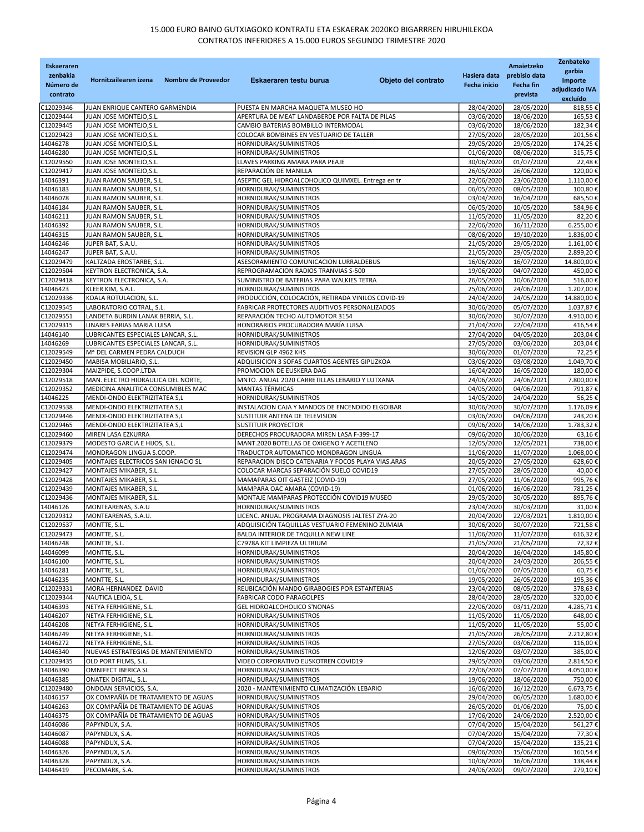| <b>Eskaeraren</b><br>zenbakia<br>Número de<br>contrato | Nombre de Proveedor<br>Hornitzailearen izena                   | Objeto del contrato<br>Eskaeraren testu burua                                                      | Hasiera data<br><b>Fecha inicio</b> | Amaietzeko<br>prebisio data<br>Fecha fin<br>prevista | Zenbateko<br>garbia<br>Importe<br>adjudicado IVA |
|--------------------------------------------------------|----------------------------------------------------------------|----------------------------------------------------------------------------------------------------|-------------------------------------|------------------------------------------------------|--------------------------------------------------|
|                                                        |                                                                |                                                                                                    |                                     |                                                      | excluído                                         |
| C12029346<br>C12029444                                 | JUAN ENRIQUE CANTERO GARMENDIA<br>JUAN JOSE MONTEJO, S.L.      | PUESTA EN MARCHA MAQUETA MUSEO HO<br>APERTURA DE MEAT LANDABERDE POR FALTA DE PILAS                | 28/04/2020<br>03/06/2020            | 28/05/2020<br>18/06/2020                             | 818,55 €<br>165,53€                              |
| C12029445                                              | JUAN JOSE MONTEJO, S.L.                                        | CAMBIO BATERIAS BOMBILLO INTERMODAL                                                                | 03/06/2020                          | 18/06/2020                                           | 182,34€                                          |
| C12029423                                              | JUAN JOSE MONTEJO, S.L.                                        | COLOCAR BOMBINES EN VESTUARIO DE TALLER                                                            | 27/05/2020                          | 28/05/2020                                           | 201,56€                                          |
| 14046278                                               | JUAN JOSE MONTEJO, S.L.                                        | HORNIDURAK/SUMINISTROS                                                                             | 29/05/2020                          | 29/05/2020                                           | 174,25€                                          |
| 14046280                                               | JUAN JOSE MONTEJO, S.L.                                        | HORNIDURAK/SUMINISTROS                                                                             | 01/06/2020                          | 08/06/2020                                           | 315,75€                                          |
| C12029550                                              | JUAN JOSE MONTEJO, S.L.                                        | LLAVES PARKING AMARA PARA PEAJE                                                                    | 30/06/2020                          | 01/07/2020                                           | 22,48€                                           |
| C12029417<br>14046391                                  | JUAN JOSE MONTEJO, S.L.<br>JUAN RAMON SAUBER, S.L.             | REPARACIÓN DE MANILLA<br>ASEPTIC GEL HIDROALCOHOLICO QUIMXEL. Entrega en tr                        | 26/05/2020<br>22/06/2020            | 26/06/2020<br>23/06/2020                             | 120,00€<br>1.110,00€                             |
| 14046183                                               | JUAN RAMON SAUBER, S.L.                                        | HORNIDURAK/SUMINISTROS                                                                             | 06/05/2020                          | 08/05/2020                                           | 100,80€                                          |
| 14046078                                               | JUAN RAMON SAUBER, S.L.                                        | HORNIDURAK/SUMINISTROS                                                                             | 03/04/2020                          | 16/04/2020                                           | 685,50€                                          |
| 14046184                                               | JUAN RAMON SAUBER, S.L.                                        | HORNIDURAK/SUMINISTROS                                                                             | 06/05/2020                          | 10/05/2020                                           | 584,96€                                          |
| 14046211                                               | JUAN RAMON SAUBER, S.L.                                        | HORNIDURAK/SUMINISTROS                                                                             | 11/05/2020                          | 11/05/2020                                           | 82,20€                                           |
| 14046392<br>14046315                                   | JUAN RAMON SAUBER, S.L.<br>JUAN RAMON SAUBER, S.L.             | HORNIDURAK/SUMINISTROS<br>HORNIDURAK/SUMINISTROS                                                   | 22/06/2020<br>08/06/2020            | 16/11/2020<br>19/10/2020                             | 6.255,00€<br>1.836,00€                           |
| 14046246                                               | JUPER BAT, S.A.U.                                              | HORNIDURAK/SUMINISTROS                                                                             | 21/05/2020                          | 29/05/2020                                           | 1.161,00€                                        |
| 14046247                                               | JUPER BAT, S.A.U.                                              | HORNIDURAK/SUMINISTROS                                                                             | 21/05/2020                          | 29/05/2020                                           | 2.899,20€                                        |
| C12029479                                              | KALTZADA EROSTARBE, S.L.                                       | ASESORAMIENTO COMUNICACION LURRALDEBUS                                                             | 16/06/2020                          | 16/07/2020                                           | 14.800,00 €                                      |
| C12029504                                              | KEYTRON ELECTRONICA, S.A.                                      | REPROGRAMACION RADIOS TRANVIAS S-500                                                               | 19/06/2020                          | 04/07/2020                                           | 450,00€                                          |
| C12029418                                              | KEYTRON ELECTRONICA, S.A.                                      | SUMINISTRO DE BATERIAS PARA WALKIES TETRA                                                          | 26/05/2020                          | 10/06/2020                                           | 516,00€                                          |
| 14046423<br>C12029336                                  | KLEER KIM, S.A.L.                                              | HORNIDURAK/SUMINISTROS                                                                             | 25/06/2020<br>24/04/2020            | 24/06/2020<br>24/05/2020                             | 1.207,00€<br>14.880,00€                          |
| C12029545                                              | KOALA ROTULACION, S.L.<br>LABORATORIO COTRAL, S.L.             | PRODUCCIÓN, COLOCACIÓN, RETIRADA VINILOS COVID-19<br>FABRICAR PROTECTORES AUDITIVOS PERSONALIZADOS | 30/06/2020                          | 05/07/2020                                           | 1.037,87€                                        |
| C12029551                                              | LANDETA BURDIN LANAK BERRIA, S.L.                              | REPARACIÓN TECHO AUTOMOTOR 3154                                                                    | 30/06/2020                          | 30/07/2020                                           | 4.910,00€                                        |
| C12029315                                              | LINARES FARIAS MARIA LUISA                                     | HONORARIOS PROCURADORA MARÍA LUISA                                                                 | 21/04/2020                          | 22/04/2020                                           | 416,54€                                          |
| 14046140                                               | LUBRICANTES ESPECIALES LANCAR, S.L.                            | HORNIDURAK/SUMINISTROS                                                                             | 27/04/2020                          | 04/05/2020                                           | 203,04€                                          |
| 14046269                                               | LUBRICANTES ESPECIALES LANCAR, S.L.                            | HORNIDURAK/SUMINISTROS                                                                             | 27/05/2020                          | 03/06/2020                                           | 203,04€                                          |
| C12029549                                              | Mª DEL CARMEN PEDRA CALDUCH                                    | REVISION GLP 4962 KHS                                                                              | 30/06/2020                          | 01/07/2020<br>03/08/2020                             | 72,25€<br>1.049,70€                              |
| C12029450<br>C12029304                                 | MABISA MOBILIARIO, S.L.<br>MAIZPIDE, S.COOP.LTDA               | ADQUISICION 3 SOFAS CUARTOS AGENTES GIPUZKOA<br>PROMOCION DE EUSKERA DAG                           | 03/06/2020<br>16/04/2020            | 16/05/2020                                           | 180,00€                                          |
| C12029518                                              | MAN. ELECTRO HIDRAULICA DEL NORTE,                             | MNTO. ANUAL 2020 CARRETILLAS LEBARIO Y LUTXANA                                                     | 24/06/2020                          | 24/06/2021                                           | 7.800,00€                                        |
| C12029352                                              | MEDICINA ANALITICA CONSUMIBLES MAC                             | MANTAS TÉRMICAS                                                                                    | 04/05/2020                          | 04/06/2020                                           | 791,87€                                          |
| 14046225                                               | MENDI-ONDO ELEKTRIZITATEA S,L                                  | HORNIDURAK/SUMINISTROS                                                                             | 14/05/2020                          | 24/04/2020                                           | 56,25€                                           |
| C12029538                                              | MENDI-ONDO ELEKTRIZITATEA S,L                                  | INSTALACION CAJA Y MANDOS DE ENCENDIDO ELGOIBAR                                                    | 30/06/2020                          | 30/07/2020                                           | 1.176,09€                                        |
| C12029446<br>C12029465                                 | MENDI-ONDO ELEKTRIZITATEA S,L<br>MENDI-ONDO ELEKTRIZITATEA S,L | SUSTITUIR ANTENA DE TELEVISION<br><b>SUSTITUIR PROYECTOR</b>                                       | 03/06/2020<br>09/06/2020            | 04/06/2020<br>14/06/2020                             | 243,20€<br>1.783,32€                             |
| C12029460                                              | MIREN LASA EZKURRA                                             | DERECHOS PROCURADORA MIREN LASA F-399-17                                                           | 09/06/2020                          | 10/06/2020                                           | 63,16€                                           |
| C12029379                                              | MODESTO GARCIA E HIJOS, S.L.                                   | MANT.2020 BOTELLAS DE OXIGENO Y ACETILENO                                                          | 12/05/2020                          | 12/05/2021                                           | 738,00€                                          |
| C12029474                                              | MONDRAGON LINGUA S.COOP.                                       | TRADUCTOR AUTOMATICO MONDRAGON LINGUA                                                              | 11/06/2020                          | 11/07/2020                                           | 1.068,00€                                        |
| C12029405                                              | MONTAJES ELECTRICOS SAN IGNACIO SL                             | REPARACION DISCO CATENARIA Y FOCOS PLAYA VIAS.ARAS                                                 | 20/05/2020                          | 27/05/2020                                           | 628,60€                                          |
| C12029427                                              | MONTAJES MIKABER, S.L.                                         | COLOCAR MARCAS SEPARACIÓN SUELO COVID19                                                            | 27/05/2020                          | 28/05/2020                                           | 40,00€                                           |
| C12029428                                              | MONTAJES MIKABER, S.L.                                         | MAMAPARAS OIT GASTEIZ (COVID-19)                                                                   | 27/05/2020                          | 11/06/2020                                           | 995,76€                                          |
| C12029439<br>C12029436                                 | MONTAJES MIKABER, S.L.<br>MONTAJES MIKABER, S.L.               | MAMPARA OAC AMARA (COVID-19)<br>MONTAJE MAMPARAS PROTECCIÓN COVID19 MUSEO                          | 01/06/2020<br>29/05/2020            | 16/06/2020<br>30/05/2020                             | 781,25€<br>895,76€                               |
| 14046126                                               | MONTEARENAS, S.A.U                                             | HORNIDURAK/SUMINISTROS                                                                             | 23/04/2020                          | 30/03/2020                                           | 31,00€                                           |
| C12029312                                              | MONTEARENAS, S.A.U.                                            | LICENC. ANUAL PROGRAMA DIAGNOSIS JALTEST ZYA-20                                                    | 20/04/2020                          | 22/03/2021                                           | 1.810,00€                                        |
| C12029537                                              | MONTTE, S.L.                                                   | ADQUISICIÓN TAQUILLAS VESTUARIO FEMENINO ZUMAIA                                                    | 30/06/2020                          | 30/07/2020                                           | 721,58€                                          |
| C12029473                                              | MONTTE, S.L.                                                   | BALDA INTERIOR DE TAQUILLA NEW LINE                                                                | 11/06/2020                          | 11/07/2020                                           | 616,32€                                          |
| 14046248                                               | MONTTE, S.L.                                                   | C7978A KIT LIMPIEZA ULTRIUM                                                                        | 21/05/2020                          | 21/05/2020                                           | 72,32€                                           |
| 14046099<br>14046100                                   | MONTTE, S.L.<br>MONTTE, S.L.                                   | HORNIDURAK/SUMINISTROS<br>HORNIDURAK/SUMINISTROS                                                   | 20/04/2020<br>20/04/2020            | 16/04/2020<br>24/03/2020                             | 145,80€<br>206,55€                               |
| 14046281                                               | MONTTE, S.L.                                                   | HORNIDURAK/SUMINISTROS                                                                             | 01/06/2020                          | 07/05/2020                                           | 60,75€                                           |
| 14046235                                               | MONTTE, S.L.                                                   | HORNIDURAK/SUMINISTROS                                                                             | 19/05/2020                          | 26/05/2020                                           | 195,36€                                          |
| C12029331                                              | MORA HERNANDEZ DAVID                                           | REUBICACIÓN MANDO GIRABOGIES POR ESTANTERIAS                                                       | 23/04/2020                          | 08/05/2020                                           | 378,63€                                          |
| C12029344                                              | NAUTICA LEIOA, S.L.                                            | FABRICAR CODO PARAGOLPES                                                                           | 28/04/2020                          | 28/05/2020                                           | 320,00€                                          |
| 14046393<br>14046207                                   | NETYA FERHIGIENE, S.L.                                         | GEL HIDROALCOHOLICO S'NONAS                                                                        | 22/06/2020                          | 03/11/2020<br>11/05/2020                             | 4.285,71€<br>648,00€                             |
| 14046208                                               | NETYA FERHIGIENE, S.L.<br>NETYA FERHIGIENE, S.L.               | HORNIDURAK/SUMINISTROS<br>HORNIDURAK/SUMINISTROS                                                   | 11/05/2020<br>11/05/2020            | 11/05/2020                                           | 55,00€                                           |
| 14046249                                               | NETYA FERHIGIENE, S.L.                                         | HORNIDURAK/SUMINISTROS                                                                             | 21/05/2020                          | 26/05/2020                                           | 2.212,80€                                        |
| 14046272                                               | NETYA FERHIGIENE, S.L.                                         | HORNIDURAK/SUMINISTROS                                                                             | 27/05/2020                          | 03/06/2020                                           | 116,00€                                          |
| 14046340                                               | NUEVAS ESTRATEGIAS DE MANTENIMIENTO                            | HORNIDURAK/SUMINISTROS                                                                             | 12/06/2020                          | 03/07/2020                                           | 385,00€                                          |
| C12029435                                              | OLD PORT FILMS, S.L.                                           | VIDEO CORPORATIVO EUSKOTREN COVID19                                                                | 29/05/2020                          | 03/06/2020                                           | 2.814,50€                                        |
| 14046390                                               | OMNIFECT IBERICA SL                                            | HORNIDURAK/SUMINISTROS                                                                             | 22/06/2020                          | 07/07/2020                                           | 4.050,00 €                                       |
| 14046385<br>C12029480                                  | ONATEK DIGITAL, S.L.<br>ONDOAN SERVICIOS, S.A.                 | HORNIDURAK/SUMINISTROS<br>2020 - MANTENIMIENTO CLIMATIZACIÓN LEBARIO                               | 19/06/2020<br>16/06/2020            | 18/06/2020<br>16/12/2020                             | 750,00€<br>6.673,75€                             |
| 14046157                                               | OX COMPAÑÍA DE TRATAMIENTO DE AGUAS                            | HORNIDURAK/SUMINISTROS                                                                             | 29/04/2020                          | 06/05/2020                                           | 1.680,00€                                        |
| 14046263                                               | OX COMPAÑÍA DE TRATAMIENTO DE AGUAS                            | HORNIDURAK/SUMINISTROS                                                                             | 26/05/2020                          | 01/06/2020                                           | 75,00 €                                          |
| 14046375                                               | OX COMPAÑÍA DE TRATAMIENTO DE AGUAS                            | HORNIDURAK/SUMINISTROS                                                                             | 17/06/2020                          | 24/06/2020                                           | 2.520,00€                                        |
| 14046086                                               | PAPYNDUX, S.A.                                                 | HORNIDURAK/SUMINISTROS                                                                             | 07/04/2020                          | 15/04/2020                                           | 561,27€                                          |
| 14046087                                               | PAPYNDUX, S.A.                                                 | HORNIDURAK/SUMINISTROS                                                                             | 07/04/2020                          | 15/04/2020                                           | 77,30€                                           |
| 14046088<br>14046326                                   | PAPYNDUX, S.A.<br>PAPYNDUX, S.A.                               | HORNIDURAK/SUMINISTROS<br>HORNIDURAK/SUMINISTROS                                                   | 07/04/2020<br>09/06/2020            | 15/04/2020<br>15/06/2020                             | 135,21€<br>160,54€                               |
| 14046328                                               | PAPYNDUX, S.A.                                                 | HORNIDURAK/SUMINISTROS                                                                             | 10/06/2020                          | 16/06/2020                                           | 138,44 €                                         |
| 14046419                                               | PECOMARK, S.A.                                                 | HORNIDURAK/SUMINISTROS                                                                             | 24/06/2020                          | 09/07/2020                                           | 279,10€                                          |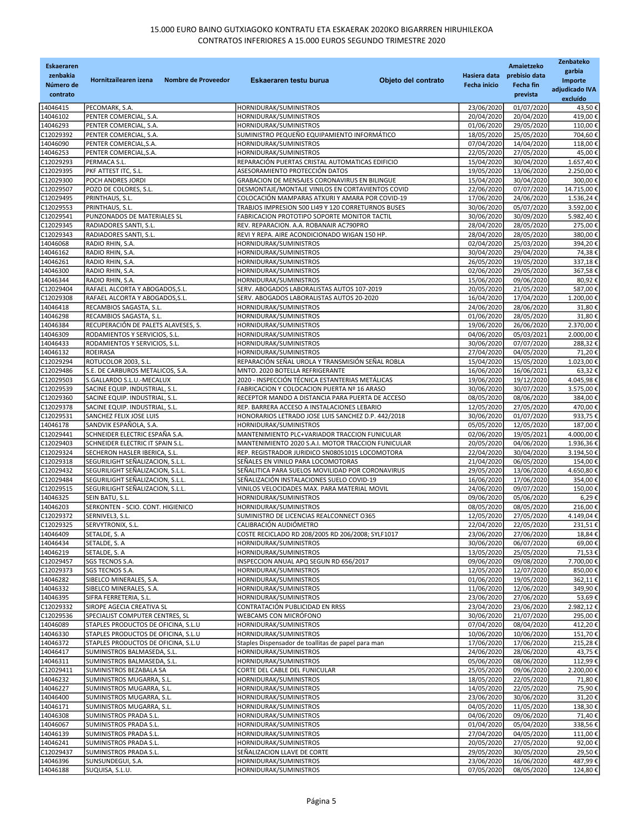| <b>Eskaeraren</b><br>zenbakia<br>Número de<br>contrato | Hornitzailearen izena<br>Nombre de Proveedor                      | Eskaeraren testu burua<br>Objeto del contrato                                                         | Hasiera data<br><b>Fecha inicio</b> | Amaietzeko<br>prebisio data<br>Fecha fin<br>prevista | Zenbateko<br>garbia<br>Importe<br>adjudicado IVA<br>excluído |
|--------------------------------------------------------|-------------------------------------------------------------------|-------------------------------------------------------------------------------------------------------|-------------------------------------|------------------------------------------------------|--------------------------------------------------------------|
| 14046415                                               | PECOMARK, S.A.                                                    | HORNIDURAK/SUMINISTROS                                                                                | 23/06/2020                          | 01/07/2020                                           | 43,50€                                                       |
| 14046102                                               | PENTER COMERCIAL, S.A.                                            | HORNIDURAK/SUMINISTROS                                                                                | 20/04/2020                          | 20/04/2020                                           | 419,00€                                                      |
| 14046293                                               | PENTER COMERCIAL, S.A.                                            | HORNIDURAK/SUMINISTROS                                                                                | 01/06/2020                          | 29/05/2020                                           | 110,00€                                                      |
| C12029392                                              | PENTER COMERCIAL, S.A.                                            | SUMINISTRO PEQUEÑO EQUIPAMIENTO INFORMÁTICO                                                           | 18/05/2020                          | 25/05/2020                                           | 704,60€                                                      |
| 14046090                                               | PENTER COMERCIAL, S.A.                                            | HORNIDURAK/SUMINISTROS                                                                                | 07/04/2020                          | 14/04/2020                                           | 118,00€                                                      |
| 14046253                                               | PENTER COMERCIAL, S.A.                                            | HORNIDURAK/SUMINISTROS                                                                                | 22/05/2020                          | 27/05/2020                                           | 45,00€                                                       |
| C12029293                                              | PERMACA S.L.                                                      | REPARACIÓN PUERTAS CRISTAL AUTOMATICAS EDIFICIO                                                       | 15/04/2020                          | 30/04/2020                                           | 1.657,40€                                                    |
| C12029395                                              | PKF ATTEST ITC, S.L.                                              | ASESORAMIENTO PROTECCIÓN DATOS                                                                        | 19/05/2020                          | 13/06/2020                                           | 2.250,00€                                                    |
| C12029300                                              | POCH ANDRES JORDI                                                 | GRABACION DE MENSAJES CORONAVIRUS EN BILINGUE                                                         | 15/04/2020                          | 30/04/2020                                           | 300,00€                                                      |
| C12029507                                              | POZO DE COLORES, S.L.                                             | DESMONTAJE/MONTAJE VINILOS EN CORTAVIENTOS COVID                                                      | 22/06/2020                          | 07/07/2020                                           | 14.715,00€                                                   |
| C12029495                                              | PRINTHAUS, S.L.                                                   | COLOCACIÓN MAMPARAS ATXURI Y AMARA POR COVID-19                                                       | 17/06/2020                          | 24/06/2020                                           | 1.536,24€                                                    |
| C12029553                                              | PRINTHAUS, S.L.                                                   | TRABJOS IMPRESION 500 LI49 Y 120 CORRETURNOS BUSES                                                    | 30/06/2020                          | 05/07/2020                                           | 3.592,00€<br>5.982,40€                                       |
| C12029541<br>C12029345                                 | PUNZONADOS DE MATERIALES SL<br>RADIADORES SANTI, S.L.             | FABRICACION PROTOTIPO SOPORTE MONITOR TACTIL<br>REV. REPARACION. A.A. ROBANAIR AC790PRO               | 30/06/2020<br>28/04/2020            | 30/09/2020<br>28/05/2020                             | 275,00€                                                      |
| C12029343                                              | RADIADORES SANTI, S.L.                                            | REVI Y REPA. AIRE ACONDICIONADO WIGAN 150 HP.                                                         | 28/04/2020                          | 28/05/2020                                           | 380,00€                                                      |
| 14046068                                               | RADIO RHIN, S.A.                                                  | HORNIDURAK/SUMINISTROS                                                                                | 02/04/2020                          | 25/03/2020                                           | 394,20€                                                      |
| 14046162                                               | RADIO RHIN, S.A.                                                  | HORNIDURAK/SUMINISTROS                                                                                | 30/04/2020                          | 29/04/2020                                           | 74,38€                                                       |
| 14046261                                               | RADIO RHIN, S.A.                                                  | HORNIDURAK/SUMINISTROS                                                                                | 26/05/2020                          | 19/05/2020                                           | 337,18€                                                      |
| 14046300                                               | RADIO RHIN, S.A.                                                  | HORNIDURAK/SUMINISTROS                                                                                | 02/06/2020                          | 29/05/2020                                           | 367,58€                                                      |
| 14046344                                               | RADIO RHIN, S.A.                                                  | HORNIDURAK/SUMINISTROS                                                                                | 15/06/2020                          | 09/06/2020                                           | 80.92€                                                       |
| C12029404                                              | RAFAEL ALCORTA Y ABOGADOS, S.L.                                   | SERV. ABOGADOS LABORALISTAS AUTOS 107-2019                                                            | 20/05/2020                          | 21/05/2020                                           | 587,00€                                                      |
| C12029308                                              | RAFAEL ALCORTA Y ABOGADOS, S.L.                                   | SERV. ABOGADOS LABORALISTAS AUTOS 20-2020                                                             | 16/04/2020                          | 17/04/2020                                           | 1.200,00€                                                    |
| 14046418                                               | RECAMBIOS SAGASTA, S.L.                                           | HORNIDURAK/SUMINISTROS                                                                                | 24/06/2020                          | 28/06/2020                                           | 31,80€                                                       |
| 14046298                                               | RECAMBIOS SAGASTA, S.L.                                           | HORNIDURAK/SUMINISTROS                                                                                | 01/06/2020                          | 28/05/2020                                           | 31,80€                                                       |
| 14046384                                               | RECUPERACIÓN DE PALETS ALAVESES, S.                               | HORNIDURAK/SUMINISTROS                                                                                | 19/06/2020                          | 26/06/2020                                           | 2.370.00€                                                    |
| 14046309<br>14046433                                   | RODAMIENTOS Y SERVICIOS, S.L.                                     | HORNIDURAK/SUMINISTROS                                                                                | 04/06/2020<br>30/06/2020            | 05/03/2021<br>07/07/2020                             | 2.000,00€                                                    |
| 14046132                                               | RODAMIENTOS Y SERVICIOS, S.L.<br><b>ROEIRASA</b>                  | HORNIDURAK/SUMINISTROS<br>HORNIDURAK/SUMINISTROS                                                      | 27/04/2020                          | 04/05/2020                                           | 288,32€<br>71,20€                                            |
| C12029294                                              | ROTUCOLOR 2003, S.L.                                              | REPARACIÓN SEÑAL UROLA Y TRANSMISIÓN SEÑAL ROBLA                                                      | 15/04/2020                          | 15/05/2020                                           | 1.023,00€                                                    |
| C12029486                                              | S.E. DE CARBUROS METALICOS, S.A.                                  | MNTO. 2020 BOTELLA REFRIGERANTE                                                                       | 16/06/2020                          | 16/06/2021                                           | 63,32€                                                       |
| C12029503                                              | S.GALLARDO S.L.U.-MECALUX                                         | 2020 - INSPECCIÓN TÉCNICA ESTANTERIAS METÁLICAS                                                       | 19/06/2020                          | 19/12/2020                                           | 4.045,98€                                                    |
| C12029539                                              | SACINE EQUIP. INDUSTRIAL, S.L.                                    | FABRICACION Y COLOCACION PUERTA Nº 16 ARASO                                                           | 30/06/2020                          | 30/07/2020                                           | 3.575,00€                                                    |
| C12029360                                              | SACINE EQUIP. INDUSTRIAL, S.L.                                    | RECEPTOR MANDO A DISTANCIA PARA PUERTA DE ACCESO                                                      | 08/05/2020                          | 08/06/2020                                           | 384,00€                                                      |
| C12029378                                              | SACINE EQUIP. INDUSTRIAL, S.L.                                    | REP. BARRERA ACCESO A INSTALACIONES LEBARIO                                                           | 12/05/2020                          | 27/05/2020                                           | 470,00€                                                      |
| C12029531                                              | SANCHEZ FELIX JOSE LUIS                                           | HONORARIOS LETRADO JOSE LUIS SANCHEZ D.P. 442/2018                                                    | 30/06/2020                          | 01/07/2020                                           | 933,75€                                                      |
| 14046178                                               | SANDVIK ESPAÑOLA, S.A.                                            | HORNIDURAK/SUMINISTROS                                                                                | 05/05/2020                          | 12/05/2020                                           | 187,00€                                                      |
| C12029441                                              | SCHNEIDER ELECTRIC ESPAÑA S.A.                                    | MANTENIMIENTO PLC+VARIADOR TRACCION FUNICULAR                                                         | 02/06/2020                          | 19/05/2021                                           | 4.000,00€                                                    |
| C12029403<br>C12029324                                 | SCHNEIDER ELECTRIC IT SPAIN S.L.<br>SECHERON HASLER IBERICA, S.L. | MANTENIMIENTO 2020 S.A.I. MOTOR TRACCION FUNICULAR<br>REP. REGISTRADOR JURIDICO SN08051015 LOCOMOTORA | 20/05/2020<br>22/04/2020            | 04/06/2020<br>30/04/2020                             | 1.936,36€<br>3.194,50€                                       |
| C12029318                                              | SEGURILIGHT SEÑALIZACION, S.L.L.                                  | SEÑALES EN VINILO PARA LOCOMOTORAS                                                                    | 21/04/2020                          | 06/05/2020                                           | 154,00€                                                      |
| C12029432                                              | SEGURILIGHT SEÑALIZACION, S.L.L.                                  | SEÑALITICA PARA SUELOS MOVILIDAD POR CORONAVIRUS                                                      | 29/05/2020                          | 13/06/2020                                           | 4.650,80 €                                                   |
| C12029484                                              | SEGURILIGHT SEÑALIZACION, S.L.L.                                  | SEÑALIZACIÓN INSTALACIONES SUELO COVID-19                                                             | 16/06/2020                          | 17/06/2020                                           | 354,00€                                                      |
| C12029515                                              | SEGURILIGHT SEÑALIZACION, S.L.L.                                  | VINILOS VELOCIDADES MAX. PARA MATERIAL MOVIL                                                          | 24/06/2020                          | 09/07/2020                                           | 150.00€                                                      |
| 14046325                                               | SEIN BATU, S.L.                                                   | HORNIDURAK/SUMINISTROS                                                                                | 09/06/2020                          | 05/06/2020                                           | 6,29€                                                        |
| 14046203                                               | SERKONTEN - SCIO. CONT. HIGIENICO                                 | HORNIDURAK/SUMINISTROS                                                                                | 08/05/2020                          | 08/05/2020                                           | 216,00€                                                      |
| C12029372                                              | SERNIVEL3, S.L.                                                   | SUMINISTRO DE LICENCIAS REALCONNECT 0365                                                              | 12/05/2020                          | 27/05/2020                                           | 4.149,04€                                                    |
| C12029325                                              | SERVYTRONIX, S.L.                                                 | CALIBRACIÓN AUDIÓMETRO                                                                                | 22/04/2020                          | 22/05/2020                                           | 231.51€                                                      |
| 14046409                                               | SETALDE, S. A                                                     | COSTE RECICLADO RD 208/2005 RD 206/2008; SYLF1017                                                     | 23/06/2020                          | 27/06/2020                                           | 18,84€                                                       |
| 14046434                                               | SETALDE, S. A                                                     | HORNIDURAK/SUMINISTROS                                                                                | 30/06/2020                          | 06/07/2020                                           | 69,00€                                                       |
| 14046219<br>C12029457                                  | SETALDE, S. A                                                     | HORNIDURAK/SUMINISTROS<br>INSPECCION ANUAL APQ SEGUN RD 656/2017                                      | 13/05/2020<br>09/06/2020            | 25/05/2020<br>09/08/2020                             | 71,53€<br>7.700,00€                                          |
| C12029373                                              | SGS TECNOS S.A.<br>SGS TECNOS S.A.                                | HORNIDURAK/SUMINISTROS                                                                                | 12/05/2020                          | 12/07/2020                                           | 850.00€                                                      |
| 14046282                                               | SIBELCO MINERALES, S.A.                                           | HORNIDURAK/SUMINISTROS                                                                                | 01/06/2020                          | 19/05/2020                                           | 362,11€                                                      |
| 14046332                                               | SIBELCO MINERALES, S.A.                                           | HORNIDURAK/SUMINISTROS                                                                                | 11/06/2020                          | 12/06/2020                                           | 349.90€                                                      |
| 14046395                                               | SIFRA FERRETERIA, S.L.                                            | HORNIDURAK/SUMINISTROS                                                                                | 23/06/2020                          | 27/06/2020                                           | 53,69€                                                       |
| C12029332                                              | SIROPE AGECIA CREATIVA SL                                         | CONTRATACIÓN PUBLICIDAD EN RRSS                                                                       | 23/04/2020                          | 23/06/2020                                           | 2.982,12€                                                    |
| C12029536                                              | SPECIALIST COMPUTER CENTRES, SL                                   | WEBCAMS CON MICRÓFONO                                                                                 | 30/06/2020                          | 21/07/2020                                           | 295,00€                                                      |
| 14046089                                               | STAPLES PRODUCTOS DE OFICINA, S.L.U                               | HORNIDURAK/SUMINISTROS                                                                                | 07/04/2020                          | 08/04/2020                                           | 412,20€                                                      |
| 14046330                                               | STAPLES PRODUCTOS DE OFICINA, S.L.U                               | HORNIDURAK/SUMINISTROS                                                                                | 10/06/2020                          | 10/06/2020                                           | 151,70€                                                      |
| 14046372                                               | STAPLES PRODUCTOS DE OFICINA, S.L.U                               | Staples Dispensador de toallitas de papel para man                                                    | 17/06/2020                          | 17/06/2020                                           | 215,28€                                                      |
| 14046417                                               | SUMINISTROS BALMASEDA, S.L.                                       | HORNIDURAK/SUMINISTROS                                                                                | 24/06/2020                          | 28/06/2020                                           | 43,75€                                                       |
| 14046311<br>C12029411                                  | SUMINISTROS BALMASEDA, S.L.<br>SUMINISTROS BEZABALA SA            | HORNIDURAK/SUMINISTROS<br>CORTE DEL CABLE DEL FUNICULAR                                               | 05/06/2020<br>25/05/2020            | 08/06/2020<br>09/06/2020                             | 112,99€<br>2.200,00€                                         |
| 14046232                                               | SUMINISTROS MUGARRA, S.L.                                         | HORNIDURAK/SUMINISTROS                                                                                | 18/05/2020                          | 22/05/2020                                           | 71,80€                                                       |
| 14046227                                               | SUMINISTROS MUGARRA, S.L.                                         | HORNIDURAK/SUMINISTROS                                                                                | 14/05/2020                          | 22/05/2020                                           | 75,90€                                                       |
| 14046400                                               | SUMINISTROS MUGARRA, S.L.                                         | HORNIDURAK/SUMINISTROS                                                                                | 23/06/2020                          | 30/06/2020                                           | 31,20€                                                       |
| 14046171                                               | SUMINISTROS MUGARRA, S.L.                                         | HORNIDURAK/SUMINISTROS                                                                                | 04/05/2020                          | 11/05/2020                                           | 138,30€                                                      |
| 14046308                                               | SUMINISTROS PRADA S.L.                                            | HORNIDURAK/SUMINISTROS                                                                                | 04/06/2020                          | 09/06/2020                                           | 71,40€                                                       |
| 14046067                                               | SUMINISTROS PRADA S.L.                                            | HORNIDURAK/SUMINISTROS                                                                                | 01/04/2020                          | 05/04/2020                                           | 338,56€                                                      |
| 14046139                                               | SUMINISTROS PRADA S.L.                                            | HORNIDURAK/SUMINISTROS                                                                                | 27/04/2020                          | 04/05/2020                                           | 111,00€                                                      |
| 14046241                                               | SUMINISTROS PRADA S.L.                                            | HORNIDURAK/SUMINISTROS                                                                                | 20/05/2020                          | 27/05/2020                                           | 92,00€                                                       |
| C12029437                                              | SUMINISTROS PRADA S.L.                                            | SEÑALIZACION LLAVE DE CORTE                                                                           | 29/05/2020                          | 30/05/2020                                           | 29,50€                                                       |
| 14046396<br>14046188                                   | SUNSUNDEGUI, S.A.<br>SUQUISA, S.L.U.                              | HORNIDURAK/SUMINISTROS<br>HORNIDURAK/SUMINISTROS                                                      | 23/06/2020<br>07/05/2020            | 16/06/2020<br>08/05/2020                             | 487,99€<br>124,80€                                           |
|                                                        |                                                                   |                                                                                                       |                                     |                                                      |                                                              |